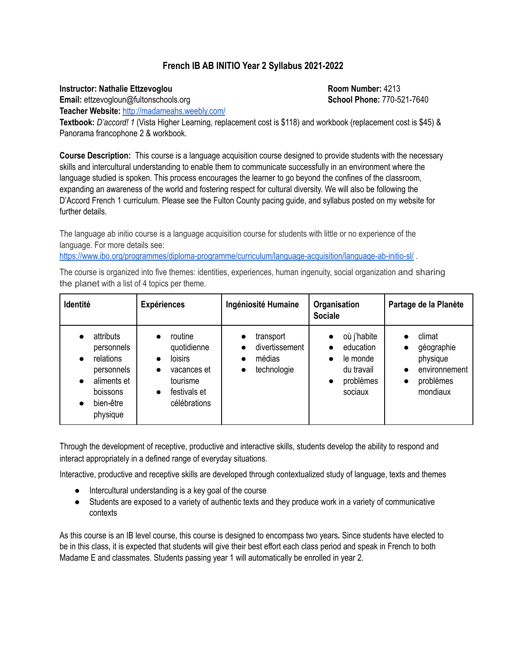# **French IB AB INITIO Year 2 Syllabus 2021-2022**

### **Instructor: Nathalie Ettzevoglou Room Number:** 4213

**Email:** ettzevogloun@fultonschools.org **School Phone:** 770-521-7640

**Teacher Website:** <http://madameahs.weebly.com/>

**Textbook:** *D'accord! 1* (Vista Higher Learning, replacement cost is \$118) and workbook (replacement cost is \$45) & Panorama francophone 2 & workbook.

**Course Description:** This course is a language acquisition course designed to provide students with the necessary skills and intercultural understanding to enable them to communicate successfully in an environment where the language studied is spoken. This process encourages the learner to go beyond the confines of the classroom, expanding an awareness of the world and fostering respect for cultural diversity. We will also be following the D'Accord French 1 curriculum. Please see the Fulton County pacing guide, and syllabus posted on my website for further details.

The language ab initio course is a language acquisition course for students with little or no experience of the language. For more details see:

<https://www.ibo.org/programmes/diploma-programme/curriculum/language-acquisition/language-ab-initio-sl/> .

The course is organized into five themes: identities, experiences, human ingenuity, social organization and sharing the planet with a list of 4 topics per theme.

| Identité                                                                                               | <b>Expériences</b>                                                                                               | Ingéniosité Humaine                                               | Organisation<br><b>Sociale</b>                                                          | Partage de la Planète                                                      |
|--------------------------------------------------------------------------------------------------------|------------------------------------------------------------------------------------------------------------------|-------------------------------------------------------------------|-----------------------------------------------------------------------------------------|----------------------------------------------------------------------------|
| attributs<br>personnels<br>relations<br>personnels<br>aliments et<br>boissons<br>bien-être<br>physique | routine<br>quotidienne<br><b>loisirs</b><br>vacances et<br>tourisme<br>festivals et<br>$\bullet$<br>célébrations | transport<br>divertissement<br>médias<br>technologie<br>$\bullet$ | où j'habite<br>education<br>le monde<br>$\bullet$<br>du travail<br>problèmes<br>sociaux | climat<br>géographie<br>physique<br>environnement<br>problèmes<br>mondiaux |

Through the development of receptive, productive and interactive skills, students develop the ability to respond and interact appropriately in a defined range of everyday situations.

Interactive, productive and receptive skills are developed through contextualized study of language, texts and themes

- Intercultural understanding is a key goal of the course
- Students are exposed to a variety of authentic texts and they produce work in a variety of communicative contexts

As this course is an IB level course, this course is designed to encompass two years*.* Since students have elected to be in this class, it is expected that students will give their best effort each class period and speak in French to both Madame E and classmates. Students passing year 1 will automatically be enrolled in year 2.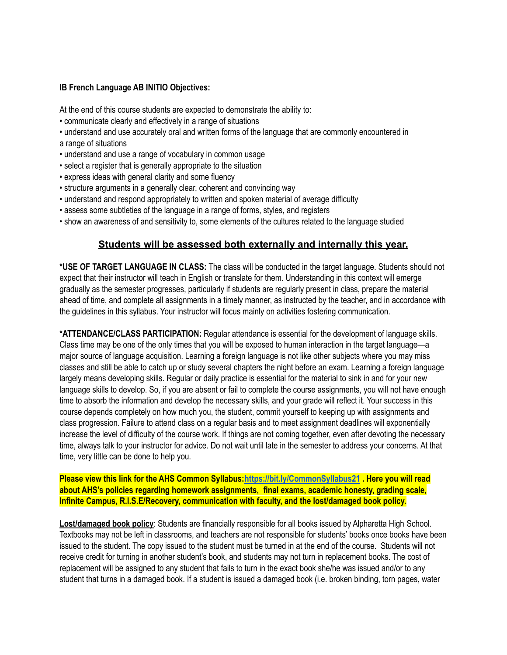#### **IB French Language AB INITIO Objectives:**

At the end of this course students are expected to demonstrate the ability to:

- communicate clearly and effectively in a range of situations
- understand and use accurately oral and written forms of the language that are commonly encountered in a range of situations
- understand and use a range of vocabulary in common usage
- select a register that is generally appropriate to the situation
- express ideas with general clarity and some fluency
- structure arguments in a generally clear, coherent and convincing way
- understand and respond appropriately to written and spoken material of average difficulty
- assess some subtleties of the language in a range of forms, styles, and registers
- show an awareness of and sensitivity to, some elements of the cultures related to the language studied

## **Students will be assessed both externally and internally this year.**

**\*USE OF TARGET LANGUAGE IN CLASS:** The class will be conducted in the target language. Students should not expect that their instructor will teach in English or translate for them. Understanding in this context will emerge gradually as the semester progresses, particularly if students are regularly present in class, prepare the material ahead of time, and complete all assignments in a timely manner, as instructed by the teacher, and in accordance with the guidelines in this syllabus. Your instructor will focus mainly on activities fostering communication.

**\*ATTENDANCE/CLASS PARTICIPATION:** Regular attendance is essential for the development of language skills. Class time may be one of the only times that you will be exposed to human interaction in the target language—a major source of language acquisition. Learning a foreign language is not like other subjects where you may miss classes and still be able to catch up or study several chapters the night before an exam. Learning a foreign language largely means developing skills. Regular or daily practice is essential for the material to sink in and for your new language skills to develop. So, if you are absent or fail to complete the course assignments, you will not have enough time to absorb the information and develop the necessary skills, and your grade will reflect it. Your success in this course depends completely on how much you, the student, commit yourself to keeping up with assignments and class progression. Failure to attend class on a regular basis and to meet assignment deadlines will exponentially increase the level of difficulty of the course work. If things are not coming together, even after devoting the necessary time, always talk to your instructor for advice. Do not wait until late in the semester to address your concerns. At that time, very little can be done to help you.

**Please view this link for the AHS Common Syllabus[:https://bit.ly/CommonSyllabus21](https://bit.ly/CommonSyllabus21) . Here you will read about AHS's policies regarding homework assignments, final exams, academic honesty, grading scale, Infinite Campus, R.I.S.E/Recovery, communication with faculty, and the lost/damaged book policy.**

**Lost/damaged book policy**: Students are financially responsible for all books issued by Alpharetta High School. Textbooks may not be left in classrooms, and teachers are not responsible for students' books once books have been issued to the student. The copy issued to the student must be turned in at the end of the course. Students will not receive credit for turning in another student's book, and students may not turn in replacement books. The cost of replacement will be assigned to any student that fails to turn in the exact book she/he was issued and/or to any student that turns in a damaged book. If a student is issued a damaged book (i.e. broken binding, torn pages, water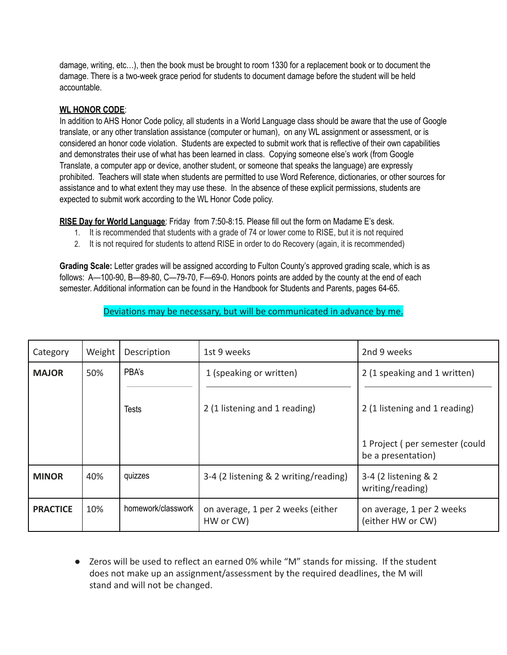damage, writing, etc…), then the book must be brought to room 1330 for a replacement book or to document the damage. There is a two-week grace period for students to document damage before the student will be held accountable.

## **WL HONOR CODE**:

In addition to AHS Honor Code policy, all students in a World Language class should be aware that the use of Google translate, or any other translation assistance (computer or human), on any WL assignment or assessment, or is considered an honor code violation. Students are expected to submit work that is reflective of their own capabilities and demonstrates their use of what has been learned in class. Copying someone else's work (from Google Translate, a computer app or device, another student, or someone that speaks the language) are expressly prohibited. Teachers will state when students are permitted to use Word Reference, dictionaries, or other sources for assistance and to what extent they may use these. In the absence of these explicit permissions, students are expected to submit work according to the WL Honor Code policy.

**RISE Day for World Language**: Friday from 7:50-8:15. Please fill out the form on Madame E's desk.

- 1. It is recommended that students with a grade of 74 or lower come to RISE, but it is not required
- 2. It is not required for students to attend RISE in order to do Recovery (again, it is recommended)

**Grading Scale:** Letter grades will be assigned according to Fulton County's approved grading scale, which is as follows: A—100-90, B—89-80, C—79-70, F—69-0. Honors points are added by the county at the end of each semester. Additional information can be found in the Handbook for Students and Parents, pages 64-65.

Deviations may be necessary, but will be communicated in advance by me.

| Category        | Weight | Description        | 1st 9 weeks                                    | 2nd 9 weeks                                          |
|-----------------|--------|--------------------|------------------------------------------------|------------------------------------------------------|
| <b>MAJOR</b>    | 50%    | PBA's              | 1 (speaking or written)                        | 2 (1 speaking and 1 written)                         |
|                 |        | <b>Tests</b>       | 2 (1 listening and 1 reading)                  | 2 (1 listening and 1 reading)                        |
|                 |        |                    |                                                | 1 Project (per semester (could<br>be a presentation) |
| <b>MINOR</b>    | 40%    | quizzes            | 3-4 (2 listening & 2 writing/reading)          | 3-4 (2 listening & 2<br>writing/reading)             |
| <b>PRACTICE</b> | 10%    | homework/classwork | on average, 1 per 2 weeks (either<br>HW or CW) | on average, 1 per 2 weeks<br>(either HW or CW)       |

● Zeros will be used to reflect an earned 0% while "M" stands for missing. If the student does not make up an assignment/assessment by the required deadlines, the M will stand and will not be changed.